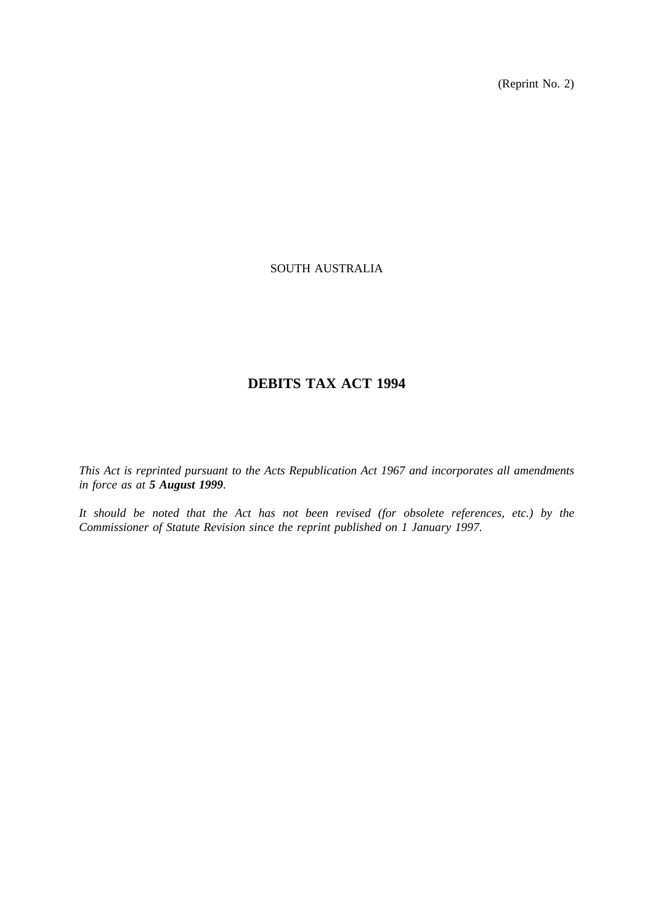(Reprint No. 2)

# SOUTH AUSTRALIA

# **DEBITS TAX ACT 1994**

*This Act is reprinted pursuant to the Acts Republication Act 1967 and incorporates all amendments in force as at 5 August 1999.*

*It should be noted that the Act has not been revised (for obsolete references, etc.) by the Commissioner of Statute Revision since the reprint published on 1 January 1997.*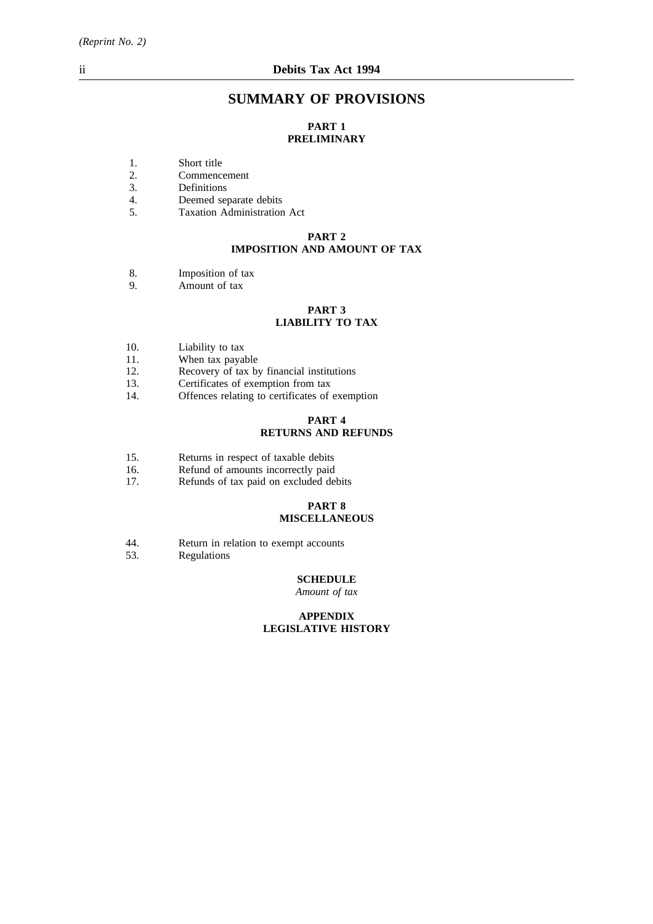# **SUMMARY OF PROVISIONS**

# **PART 1 PRELIMINARY**

- 1. Short title
- 2. Commencement
- 3. Definitions
- 4. Deemed separate debits
- 5. Taxation Administration Act

# **PART 2 IMPOSITION AND AMOUNT OF TAX**

- 8. Imposition of tax
- 9. Amount of tax

### **PART 3 LIABILITY TO TAX**

- 10. Liability to tax<br>11. When tax payal
- When tax payable
- 12. Recovery of tax by financial institutions
- 13. Certificates of exemption from tax
- 14. Offences relating to certificates of exemption

# **PART 4 RETURNS AND REFUNDS**

- 15. Returns in respect of taxable debits<br>16. Refund of amounts incorrectly paid
- Refund of amounts incorrectly paid
- 17. Refunds of tax paid on excluded debits

#### **PART 8 MISCELLANEOUS**

- 44. Return in relation to exempt accounts<br>53. Regulations
- **Regulations**

# **SCHEDULE**

*Amount of tax*

#### **APPENDIX LEGISLATIVE HISTORY**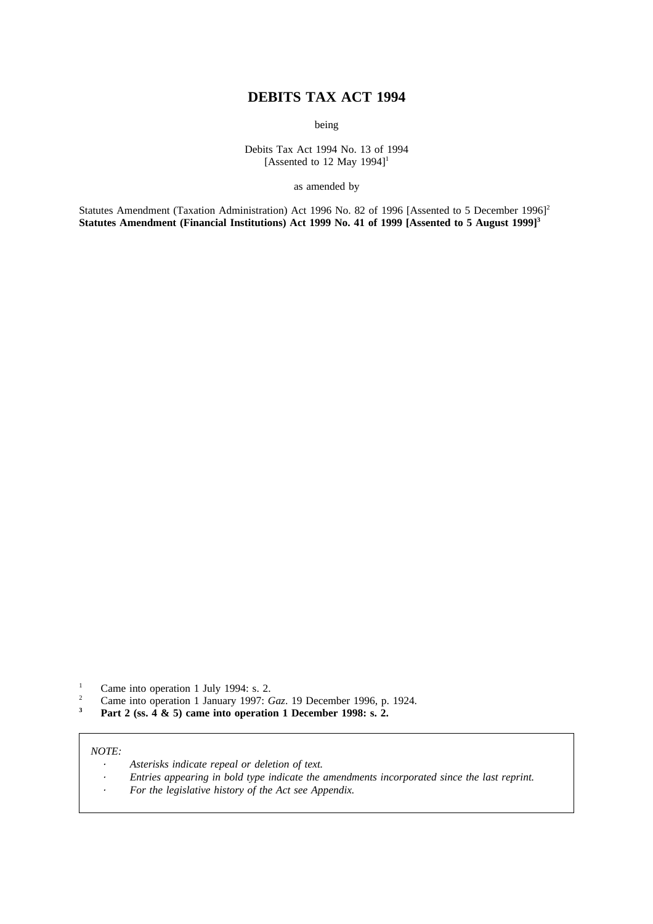# **DEBITS TAX ACT 1994**

being

Debits Tax Act 1994 No. 13 of 1994 [Assented to 12 May 1994]<sup>1</sup>

as amended by

Statutes Amendment (Taxation Administration) Act 1996 No. 82 of 1996 [Assented to 5 December 1996]<sup>2</sup> Statutes Amendment (Financial Institutions) Act 1999 No. 41 of 1999 [Assented to 5 August 1999]<sup>3</sup>

- <sup>1</sup> Came into operation 1 July 1994: s. 2.<br><sup>2</sup> Came into operation 1 January 1997: C
- <sup>2</sup> Came into operation 1 January 1997: *Gaz*. 19 December 1996, p. 1924.
- **<sup>3</sup> Part 2 (ss. 4 & 5) came into operation 1 December 1998: s. 2.**

### *NOTE:*

- *Asterisks indicate repeal or deletion of text.*
- *Entries appearing in bold type indicate the amendments incorporated since the last reprint.*
- $\ddot{\phantom{a}}$ *For the legislative history of the Act see Appendix.*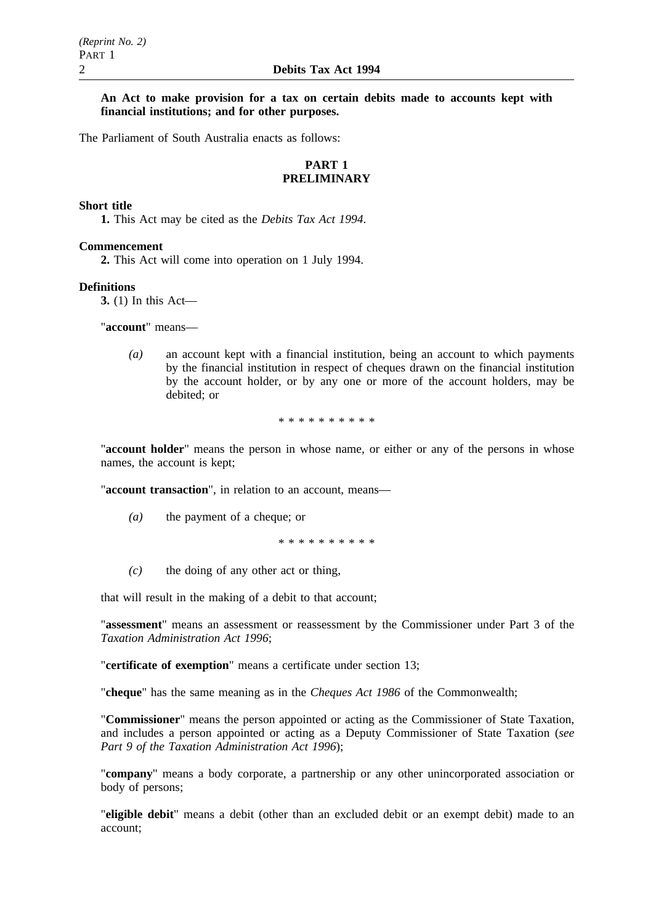## **An Act to make provision for a tax on certain debits made to accounts kept with financial institutions; and for other purposes.**

The Parliament of South Australia enacts as follows:

# **PART 1 PRELIMINARY**

## **Short title**

**1.** This Act may be cited as the *Debits Tax Act 1994*.

#### **Commencement**

**2.** This Act will come into operation on 1 July 1994.

#### **Definitions**

**3.** (1) In this Act—

"**account**" means—

*(a)* an account kept with a financial institution, being an account to which payments by the financial institution in respect of cheques drawn on the financial institution by the account holder, or by any one or more of the account holders, may be debited; or

\*\*\*\*\*\*\*\*\*\*

"**account holder**" means the person in whose name, or either or any of the persons in whose names, the account is kept;

"**account transaction**", in relation to an account, means—

*(a)* the payment of a cheque; or

\*\*\*\*\*\*\*\*\*\*

*(c)* the doing of any other act or thing,

that will result in the making of a debit to that account;

"**assessment**" means an assessment or reassessment by the Commissioner under Part 3 of the *Taxation Administration Act 1996*;

"**certificate of exemption**" means a certificate under section 13;

"**cheque**" has the same meaning as in the *Cheques Act 1986* of the Commonwealth;

"**Commissioner**" means the person appointed or acting as the Commissioner of State Taxation, and includes a person appointed or acting as a Deputy Commissioner of State Taxation (*see Part 9 of the Taxation Administration Act 1996*);

"**company**" means a body corporate, a partnership or any other unincorporated association or body of persons;

"**eligible debit**" means a debit (other than an excluded debit or an exempt debit) made to an account;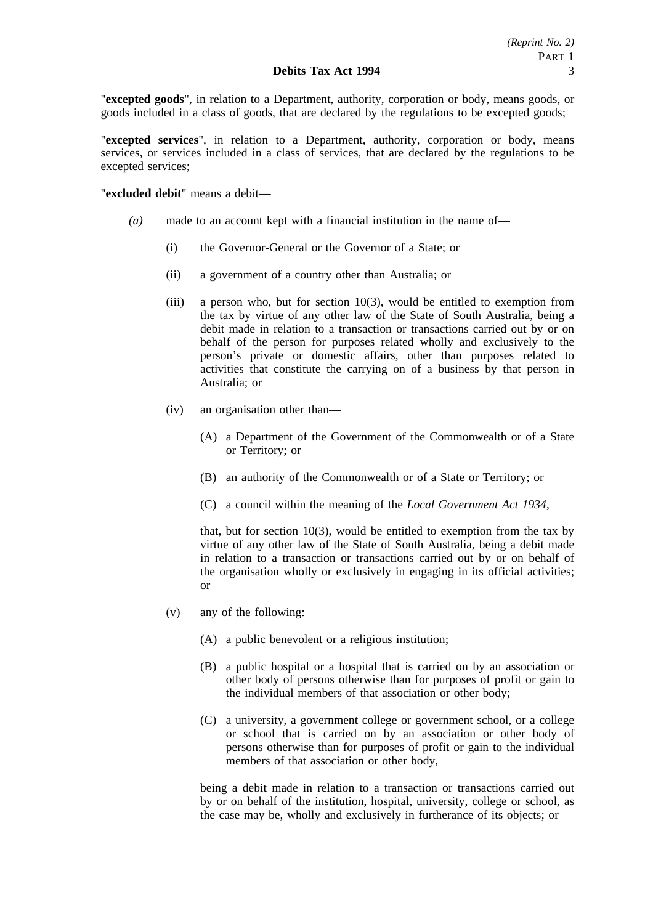"**excepted goods**", in relation to a Department, authority, corporation or body, means goods, or goods included in a class of goods, that are declared by the regulations to be excepted goods;

"**excepted services**", in relation to a Department, authority, corporation or body, means services, or services included in a class of services, that are declared by the regulations to be excepted services;

"**excluded debit**" means a debit—

- *(a)* made to an account kept with a financial institution in the name of—
	- (i) the Governor-General or the Governor of a State; or
	- (ii) a government of a country other than Australia; or
	- (iii) a person who, but for section 10(3), would be entitled to exemption from the tax by virtue of any other law of the State of South Australia, being a debit made in relation to a transaction or transactions carried out by or on behalf of the person for purposes related wholly and exclusively to the person's private or domestic affairs, other than purposes related to activities that constitute the carrying on of a business by that person in Australia; or
	- (iv) an organisation other than—
		- (A) a Department of the Government of the Commonwealth or of a State or Territory; or
		- (B) an authority of the Commonwealth or of a State or Territory; or
		- (C) a council within the meaning of the *Local Government Act 1934*,

that, but for section  $10(3)$ , would be entitled to exemption from the tax by virtue of any other law of the State of South Australia, being a debit made in relation to a transaction or transactions carried out by or on behalf of the organisation wholly or exclusively in engaging in its official activities; or

- (v) any of the following:
	- (A) a public benevolent or a religious institution;
	- (B) a public hospital or a hospital that is carried on by an association or other body of persons otherwise than for purposes of profit or gain to the individual members of that association or other body;
	- (C) a university, a government college or government school, or a college or school that is carried on by an association or other body of persons otherwise than for purposes of profit or gain to the individual members of that association or other body,

being a debit made in relation to a transaction or transactions carried out by or on behalf of the institution, hospital, university, college or school, as the case may be, wholly and exclusively in furtherance of its objects; or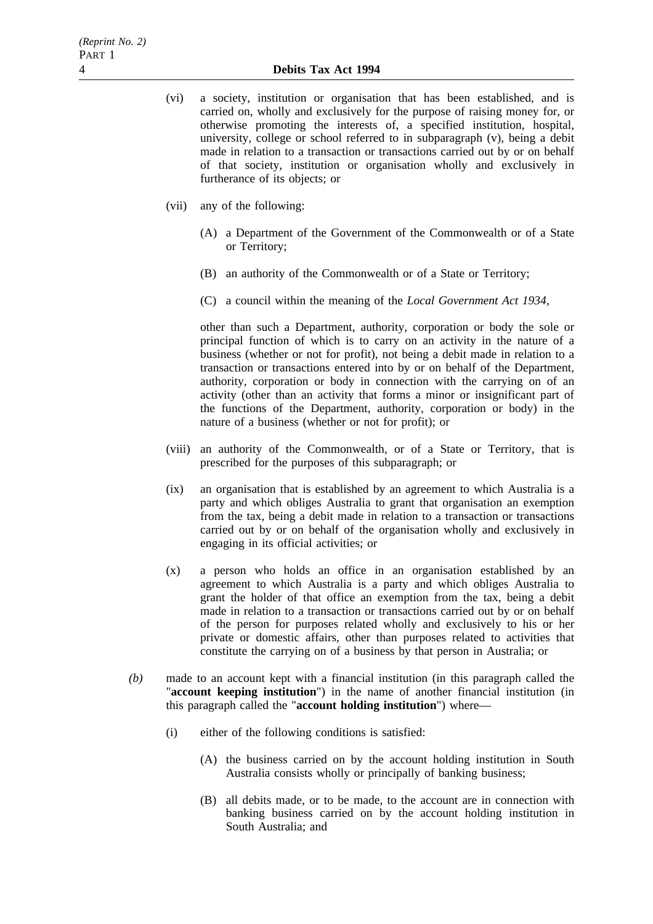- (vi) a society, institution or organisation that has been established, and is carried on, wholly and exclusively for the purpose of raising money for, or otherwise promoting the interests of, a specified institution, hospital, university, college or school referred to in subparagraph (v), being a debit made in relation to a transaction or transactions carried out by or on behalf of that society, institution or organisation wholly and exclusively in furtherance of its objects; or
- (vii) any of the following:
	- (A) a Department of the Government of the Commonwealth or of a State or Territory;
	- (B) an authority of the Commonwealth or of a State or Territory;
	- (C) a council within the meaning of the *Local Government Act 1934*,

other than such a Department, authority, corporation or body the sole or principal function of which is to carry on an activity in the nature of a business (whether or not for profit), not being a debit made in relation to a transaction or transactions entered into by or on behalf of the Department, authority, corporation or body in connection with the carrying on of an activity (other than an activity that forms a minor or insignificant part of the functions of the Department, authority, corporation or body) in the nature of a business (whether or not for profit); or

- (viii) an authority of the Commonwealth, or of a State or Territory, that is prescribed for the purposes of this subparagraph; or
- (ix) an organisation that is established by an agreement to which Australia is a party and which obliges Australia to grant that organisation an exemption from the tax, being a debit made in relation to a transaction or transactions carried out by or on behalf of the organisation wholly and exclusively in engaging in its official activities; or
- (x) a person who holds an office in an organisation established by an agreement to which Australia is a party and which obliges Australia to grant the holder of that office an exemption from the tax, being a debit made in relation to a transaction or transactions carried out by or on behalf of the person for purposes related wholly and exclusively to his or her private or domestic affairs, other than purposes related to activities that constitute the carrying on of a business by that person in Australia; or
- *(b)* made to an account kept with a financial institution (in this paragraph called the "**account keeping institution**") in the name of another financial institution (in this paragraph called the "**account holding institution**") where—
	- (i) either of the following conditions is satisfied:
		- (A) the business carried on by the account holding institution in South Australia consists wholly or principally of banking business;
		- (B) all debits made, or to be made, to the account are in connection with banking business carried on by the account holding institution in South Australia; and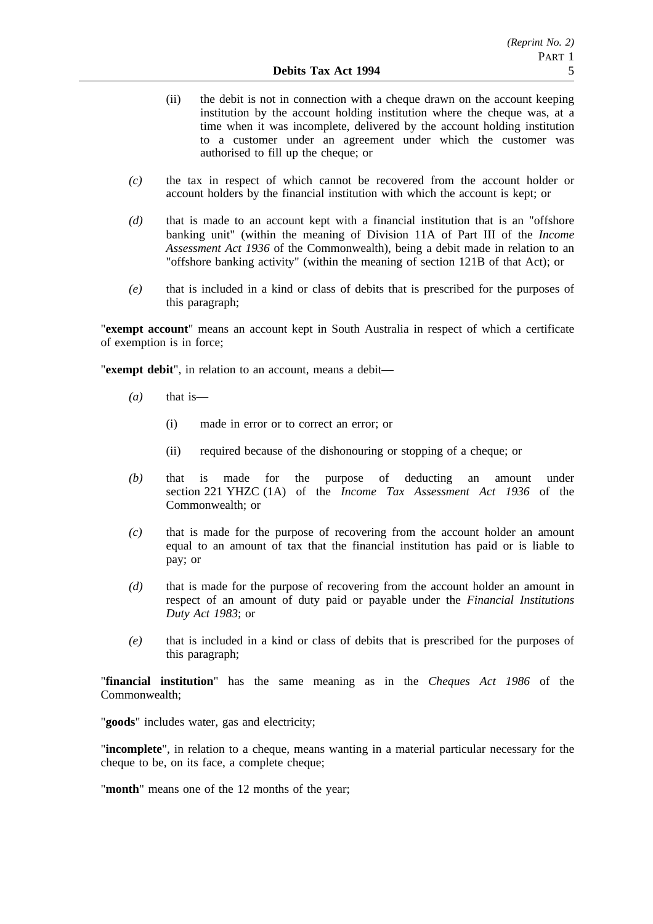- (ii) the debit is not in connection with a cheque drawn on the account keeping institution by the account holding institution where the cheque was, at a time when it was incomplete, delivered by the account holding institution to a customer under an agreement under which the customer was authorised to fill up the cheque; or
- *(c)* the tax in respect of which cannot be recovered from the account holder or account holders by the financial institution with which the account is kept; or
- *(d)* that is made to an account kept with a financial institution that is an "offshore banking unit" (within the meaning of Division 11A of Part III of the *Income Assessment Act 1936* of the Commonwealth), being a debit made in relation to an "offshore banking activity" (within the meaning of section 121B of that Act); or
- *(e)* that is included in a kind or class of debits that is prescribed for the purposes of this paragraph;

"**exempt account**" means an account kept in South Australia in respect of which a certificate of exemption is in force;

"**exempt debit**", in relation to an account, means a debit—

- *(a)* that is—
	- (i) made in error or to correct an error; or
	- (ii) required because of the dishonouring or stopping of a cheque; or
- *(b)* that is made for the purpose of deducting an amount under section 221 YHZC (1A) of the *Income Tax Assessment Act 1936* of the Commonwealth; or
- *(c)* that is made for the purpose of recovering from the account holder an amount equal to an amount of tax that the financial institution has paid or is liable to pay; or
- *(d)* that is made for the purpose of recovering from the account holder an amount in respect of an amount of duty paid or payable under the *Financial Institutions Duty Act 1983*; or
- *(e)* that is included in a kind or class of debits that is prescribed for the purposes of this paragraph;

"**financial institution**" has the same meaning as in the *Cheques Act 1986* of the Commonwealth;

"**goods**" includes water, gas and electricity;

"**incomplete**", in relation to a cheque, means wanting in a material particular necessary for the cheque to be, on its face, a complete cheque;

"**month**" means one of the 12 months of the year;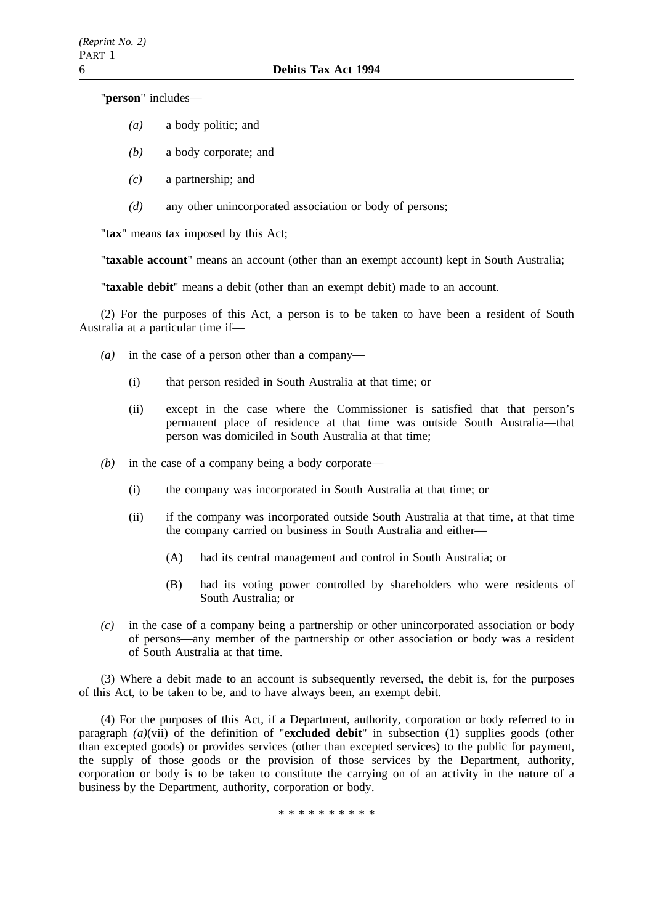"**person**" includes—

- *(a)* a body politic; and
- *(b)* a body corporate; and
- *(c)* a partnership; and
- *(d)* any other unincorporated association or body of persons;

"**tax**" means tax imposed by this Act;

"**taxable account**" means an account (other than an exempt account) kept in South Australia;

"**taxable debit**" means a debit (other than an exempt debit) made to an account.

(2) For the purposes of this Act, a person is to be taken to have been a resident of South Australia at a particular time if—

- *(a)* in the case of a person other than a company—
	- (i) that person resided in South Australia at that time; or
	- (ii) except in the case where the Commissioner is satisfied that that person's permanent place of residence at that time was outside South Australia—that person was domiciled in South Australia at that time;
- *(b)* in the case of a company being a body corporate—
	- (i) the company was incorporated in South Australia at that time; or
	- (ii) if the company was incorporated outside South Australia at that time, at that time the company carried on business in South Australia and either—
		- (A) had its central management and control in South Australia; or
		- (B) had its voting power controlled by shareholders who were residents of South Australia; or
- *(c)* in the case of a company being a partnership or other unincorporated association or body of persons—any member of the partnership or other association or body was a resident of South Australia at that time.

(3) Where a debit made to an account is subsequently reversed, the debit is, for the purposes of this Act, to be taken to be, and to have always been, an exempt debit.

(4) For the purposes of this Act, if a Department, authority, corporation or body referred to in paragraph *(a)*(vii) of the definition of "**excluded debit**" in subsection (1) supplies goods (other than excepted goods) or provides services (other than excepted services) to the public for payment, the supply of those goods or the provision of those services by the Department, authority, corporation or body is to be taken to constitute the carrying on of an activity in the nature of a business by the Department, authority, corporation or body.

\*\*\*\*\*\*\*\*\*\*\*\*\*\*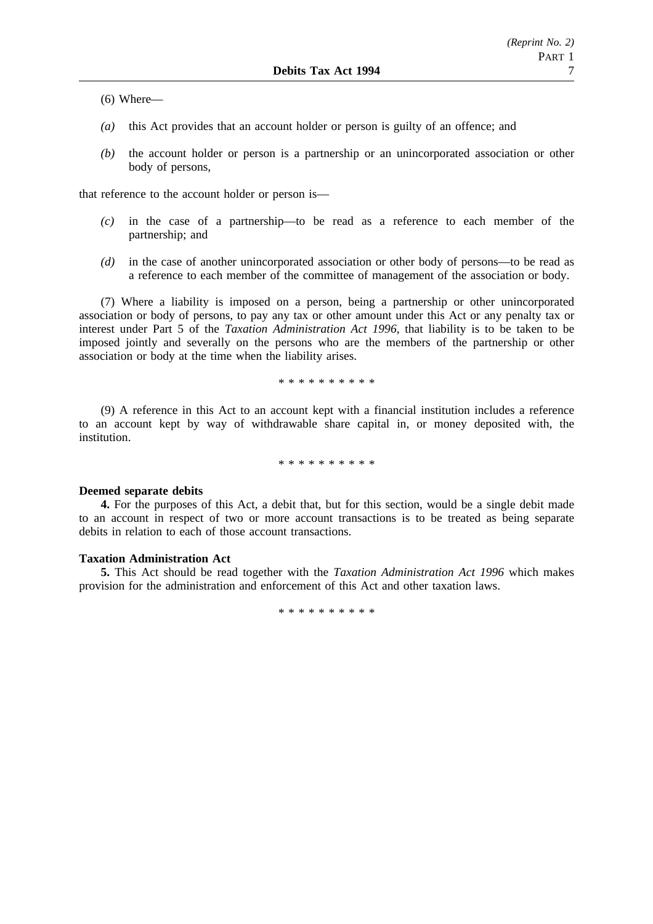(6) Where—

- *(a)* this Act provides that an account holder or person is guilty of an offence; and
- *(b)* the account holder or person is a partnership or an unincorporated association or other body of persons,

that reference to the account holder or person is—

- *(c)* in the case of a partnership—to be read as a reference to each member of the partnership; and
- *(d)* in the case of another unincorporated association or other body of persons—to be read as a reference to each member of the committee of management of the association or body.

(7) Where a liability is imposed on a person, being a partnership or other unincorporated association or body of persons, to pay any tax or other amount under this Act or any penalty tax or interest under Part 5 of the *Taxation Administration Act 1996*, that liability is to be taken to be imposed jointly and severally on the persons who are the members of the partnership or other association or body at the time when the liability arises.

\*\*\*\*\*\*\*\*\*\*

(9) A reference in this Act to an account kept with a financial institution includes a reference to an account kept by way of withdrawable share capital in, or money deposited with, the institution.

\*\*\*\*\*\*\*\*\*\*

#### **Deemed separate debits**

**4.** For the purposes of this Act, a debit that, but for this section, would be a single debit made to an account in respect of two or more account transactions is to be treated as being separate debits in relation to each of those account transactions.

# **Taxation Administration Act**

**5.** This Act should be read together with the *Taxation Administration Act 1996* which makes provision for the administration and enforcement of this Act and other taxation laws.

\*\*\*\*\*\*\*\*\*\*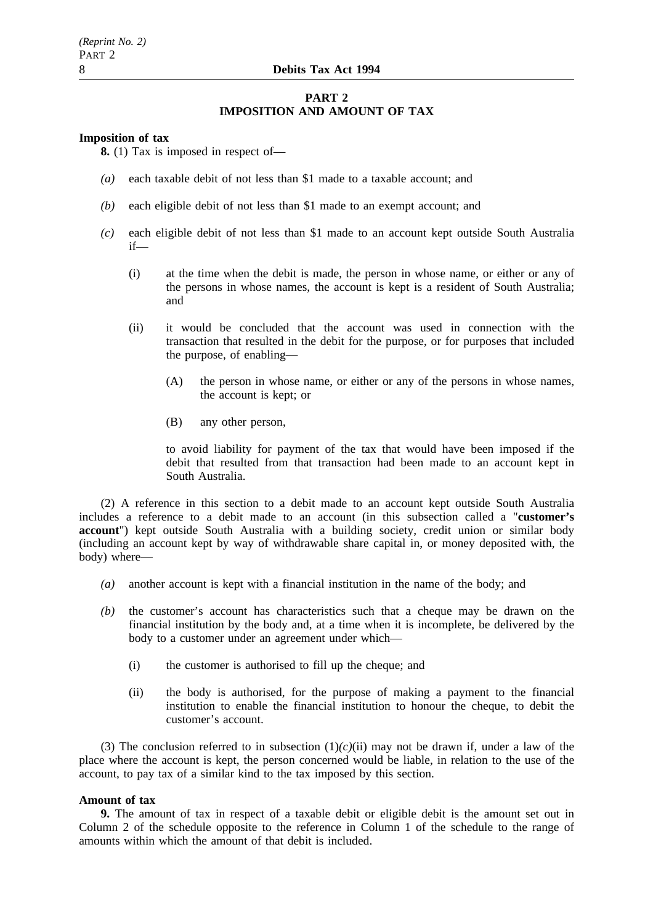# **PART 2 IMPOSITION AND AMOUNT OF TAX**

#### **Imposition of tax**

**8.** (1) Tax is imposed in respect of—

- *(a)* each taxable debit of not less than \$1 made to a taxable account; and
- *(b)* each eligible debit of not less than \$1 made to an exempt account; and
- *(c)* each eligible debit of not less than \$1 made to an account kept outside South Australia if—
	- (i) at the time when the debit is made, the person in whose name, or either or any of the persons in whose names, the account is kept is a resident of South Australia; and
	- (ii) it would be concluded that the account was used in connection with the transaction that resulted in the debit for the purpose, or for purposes that included the purpose, of enabling—
		- (A) the person in whose name, or either or any of the persons in whose names, the account is kept; or
		- (B) any other person,

to avoid liability for payment of the tax that would have been imposed if the debit that resulted from that transaction had been made to an account kept in South Australia.

(2) A reference in this section to a debit made to an account kept outside South Australia includes a reference to a debit made to an account (in this subsection called a "**customer's account**") kept outside South Australia with a building society, credit union or similar body (including an account kept by way of withdrawable share capital in, or money deposited with, the body) where—

- *(a)* another account is kept with a financial institution in the name of the body; and
- *(b)* the customer's account has characteristics such that a cheque may be drawn on the financial institution by the body and, at a time when it is incomplete, be delivered by the body to a customer under an agreement under which—
	- (i) the customer is authorised to fill up the cheque; and
	- (ii) the body is authorised, for the purpose of making a payment to the financial institution to enable the financial institution to honour the cheque, to debit the customer's account.

(3) The conclusion referred to in subsection  $(1)(c)(ii)$  may not be drawn if, under a law of the place where the account is kept, the person concerned would be liable, in relation to the use of the account, to pay tax of a similar kind to the tax imposed by this section.

## **Amount of tax**

**9.** The amount of tax in respect of a taxable debit or eligible debit is the amount set out in Column 2 of the schedule opposite to the reference in Column 1 of the schedule to the range of amounts within which the amount of that debit is included.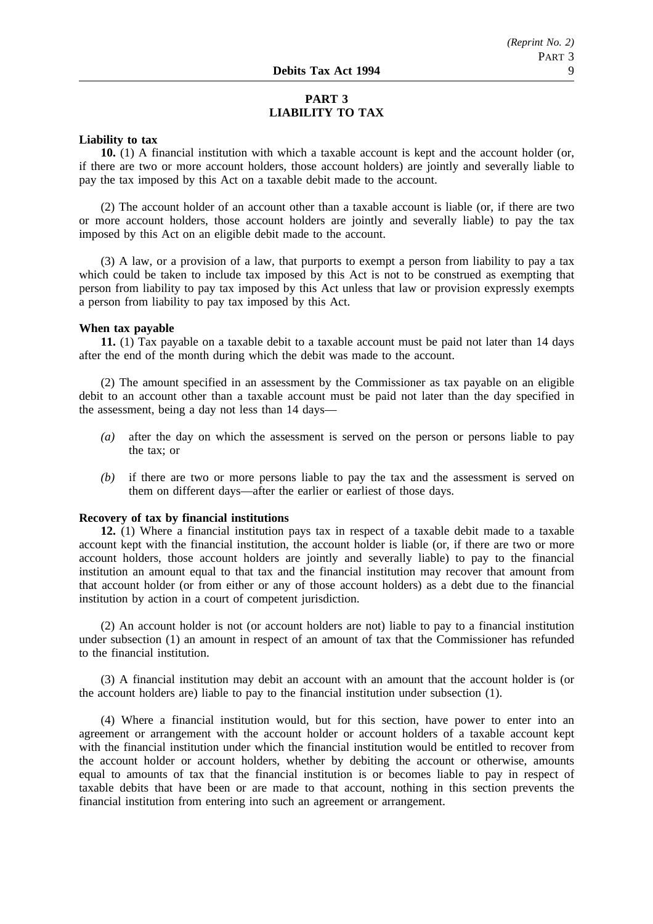# **PART 3 LIABILITY TO TAX**

# **Liability to tax**

**10.** (1) A financial institution with which a taxable account is kept and the account holder (or, if there are two or more account holders, those account holders) are jointly and severally liable to pay the tax imposed by this Act on a taxable debit made to the account.

(2) The account holder of an account other than a taxable account is liable (or, if there are two or more account holders, those account holders are jointly and severally liable) to pay the tax imposed by this Act on an eligible debit made to the account.

(3) A law, or a provision of a law, that purports to exempt a person from liability to pay a tax which could be taken to include tax imposed by this Act is not to be construed as exempting that person from liability to pay tax imposed by this Act unless that law or provision expressly exempts a person from liability to pay tax imposed by this Act.

#### **When tax payable**

**11.** (1) Tax payable on a taxable debit to a taxable account must be paid not later than 14 days after the end of the month during which the debit was made to the account.

(2) The amount specified in an assessment by the Commissioner as tax payable on an eligible debit to an account other than a taxable account must be paid not later than the day specified in the assessment, being a day not less than 14 days—

- *(a)* after the day on which the assessment is served on the person or persons liable to pay the tax; or
- *(b)* if there are two or more persons liable to pay the tax and the assessment is served on them on different days—after the earlier or earliest of those days.

#### **Recovery of tax by financial institutions**

**12.** (1) Where a financial institution pays tax in respect of a taxable debit made to a taxable account kept with the financial institution, the account holder is liable (or, if there are two or more account holders, those account holders are jointly and severally liable) to pay to the financial institution an amount equal to that tax and the financial institution may recover that amount from that account holder (or from either or any of those account holders) as a debt due to the financial institution by action in a court of competent jurisdiction.

(2) An account holder is not (or account holders are not) liable to pay to a financial institution under subsection (1) an amount in respect of an amount of tax that the Commissioner has refunded to the financial institution.

(3) A financial institution may debit an account with an amount that the account holder is (or the account holders are) liable to pay to the financial institution under subsection (1).

(4) Where a financial institution would, but for this section, have power to enter into an agreement or arrangement with the account holder or account holders of a taxable account kept with the financial institution under which the financial institution would be entitled to recover from the account holder or account holders, whether by debiting the account or otherwise, amounts equal to amounts of tax that the financial institution is or becomes liable to pay in respect of taxable debits that have been or are made to that account, nothing in this section prevents the financial institution from entering into such an agreement or arrangement.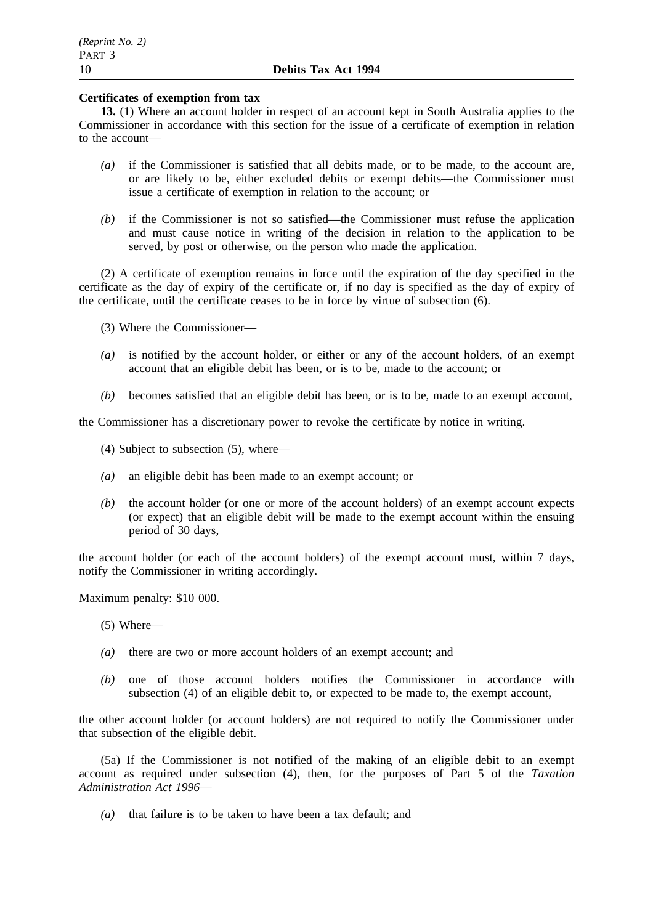# **Certificates of exemption from tax**

**13.** (1) Where an account holder in respect of an account kept in South Australia applies to the Commissioner in accordance with this section for the issue of a certificate of exemption in relation to the account—

- *(a)* if the Commissioner is satisfied that all debits made, or to be made, to the account are, or are likely to be, either excluded debits or exempt debits—the Commissioner must issue a certificate of exemption in relation to the account; or
- *(b)* if the Commissioner is not so satisfied—the Commissioner must refuse the application and must cause notice in writing of the decision in relation to the application to be served, by post or otherwise, on the person who made the application.

(2) A certificate of exemption remains in force until the expiration of the day specified in the certificate as the day of expiry of the certificate or, if no day is specified as the day of expiry of the certificate, until the certificate ceases to be in force by virtue of subsection (6).

- (3) Where the Commissioner—
- *(a)* is notified by the account holder, or either or any of the account holders, of an exempt account that an eligible debit has been, or is to be, made to the account; or
- *(b)* becomes satisfied that an eligible debit has been, or is to be, made to an exempt account,

the Commissioner has a discretionary power to revoke the certificate by notice in writing.

- (4) Subject to subsection (5), where—
- *(a)* an eligible debit has been made to an exempt account; or
- *(b)* the account holder (or one or more of the account holders) of an exempt account expects (or expect) that an eligible debit will be made to the exempt account within the ensuing period of 30 days,

the account holder (or each of the account holders) of the exempt account must, within 7 days, notify the Commissioner in writing accordingly.

Maximum penalty: \$10 000.

(5) Where—

- *(a)* there are two or more account holders of an exempt account; and
- *(b)* one of those account holders notifies the Commissioner in accordance with subsection (4) of an eligible debit to, or expected to be made to, the exempt account,

the other account holder (or account holders) are not required to notify the Commissioner under that subsection of the eligible debit.

(5a) If the Commissioner is not notified of the making of an eligible debit to an exempt account as required under subsection (4), then, for the purposes of Part 5 of the *Taxation Administration Act 1996*—

*(a)* that failure is to be taken to have been a tax default; and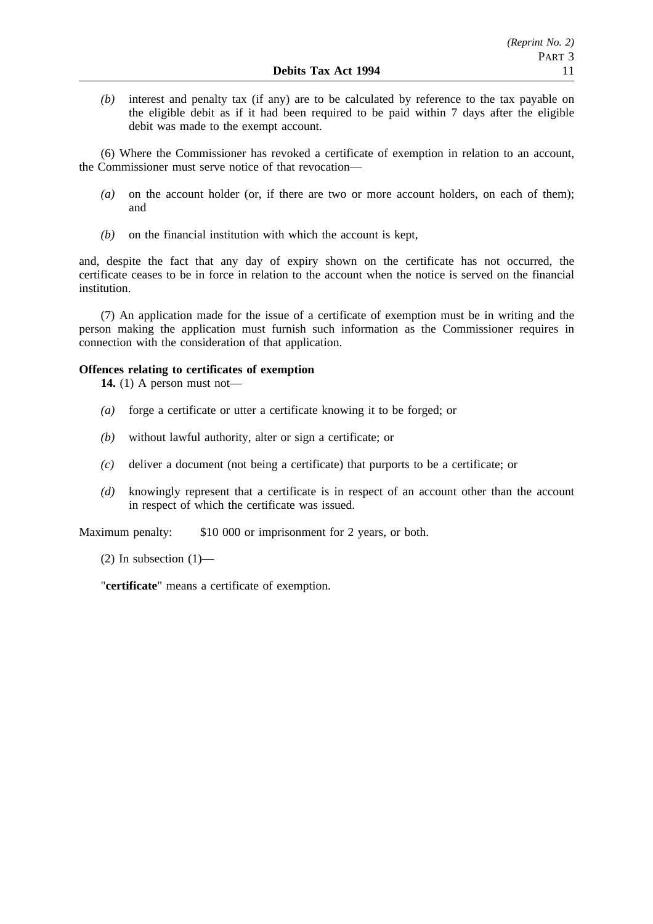*(b)* interest and penalty tax (if any) are to be calculated by reference to the tax payable on the eligible debit as if it had been required to be paid within 7 days after the eligible debit was made to the exempt account.

(6) Where the Commissioner has revoked a certificate of exemption in relation to an account, the Commissioner must serve notice of that revocation—

- *(a)* on the account holder (or, if there are two or more account holders, on each of them); and
- *(b)* on the financial institution with which the account is kept,

and, despite the fact that any day of expiry shown on the certificate has not occurred, the certificate ceases to be in force in relation to the account when the notice is served on the financial institution.

(7) An application made for the issue of a certificate of exemption must be in writing and the person making the application must furnish such information as the Commissioner requires in connection with the consideration of that application.

# **Offences relating to certificates of exemption**

**14.** (1) A person must not—

- *(a)* forge a certificate or utter a certificate knowing it to be forged; or
- *(b)* without lawful authority, alter or sign a certificate; or
- *(c)* deliver a document (not being a certificate) that purports to be a certificate; or
- *(d)* knowingly represent that a certificate is in respect of an account other than the account in respect of which the certificate was issued.

Maximum penalty: \$10 000 or imprisonment for 2 years, or both.

(2) In subsection  $(1)$ —

"**certificate**" means a certificate of exemption.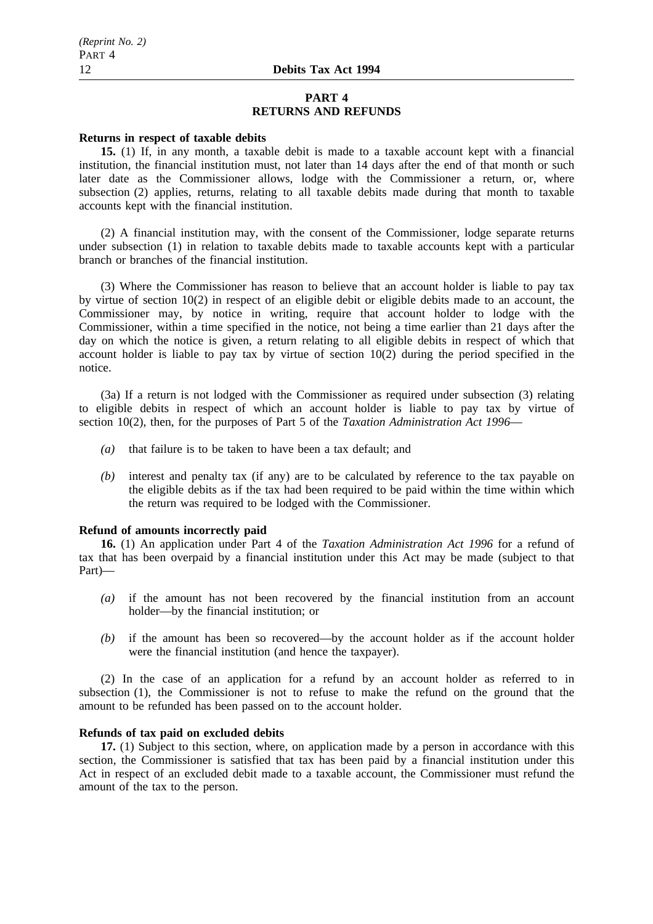#### **PART 4 RETURNS AND REFUNDS**

#### **Returns in respect of taxable debits**

**15.** (1) If, in any month, a taxable debit is made to a taxable account kept with a financial institution, the financial institution must, not later than 14 days after the end of that month or such later date as the Commissioner allows, lodge with the Commissioner a return, or, where subsection (2) applies, returns, relating to all taxable debits made during that month to taxable accounts kept with the financial institution.

(2) A financial institution may, with the consent of the Commissioner, lodge separate returns under subsection (1) in relation to taxable debits made to taxable accounts kept with a particular branch or branches of the financial institution.

(3) Where the Commissioner has reason to believe that an account holder is liable to pay tax by virtue of section 10(2) in respect of an eligible debit or eligible debits made to an account, the Commissioner may, by notice in writing, require that account holder to lodge with the Commissioner, within a time specified in the notice, not being a time earlier than 21 days after the day on which the notice is given, a return relating to all eligible debits in respect of which that account holder is liable to pay tax by virtue of section 10(2) during the period specified in the notice.

(3a) If a return is not lodged with the Commissioner as required under subsection (3) relating to eligible debits in respect of which an account holder is liable to pay tax by virtue of section 10(2), then, for the purposes of Part 5 of the *Taxation Administration Act 1996*—

- *(a)* that failure is to be taken to have been a tax default; and
- *(b)* interest and penalty tax (if any) are to be calculated by reference to the tax payable on the eligible debits as if the tax had been required to be paid within the time within which the return was required to be lodged with the Commissioner.

#### **Refund of amounts incorrectly paid**

**16.** (1) An application under Part 4 of the *Taxation Administration Act 1996* for a refund of tax that has been overpaid by a financial institution under this Act may be made (subject to that Part)—

- *(a)* if the amount has not been recovered by the financial institution from an account holder—by the financial institution; or
- *(b)* if the amount has been so recovered—by the account holder as if the account holder were the financial institution (and hence the taxpayer).

(2) In the case of an application for a refund by an account holder as referred to in subsection (1), the Commissioner is not to refuse to make the refund on the ground that the amount to be refunded has been passed on to the account holder.

#### **Refunds of tax paid on excluded debits**

**17.** (1) Subject to this section, where, on application made by a person in accordance with this section, the Commissioner is satisfied that tax has been paid by a financial institution under this Act in respect of an excluded debit made to a taxable account, the Commissioner must refund the amount of the tax to the person.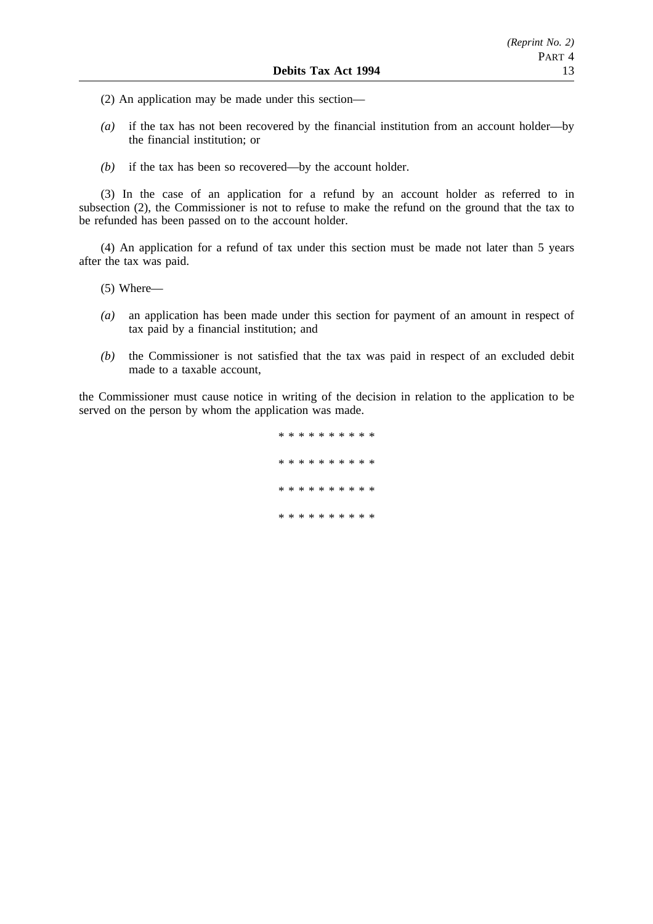- (2) An application may be made under this section—
- *(a)* if the tax has not been recovered by the financial institution from an account holder—by the financial institution; or
- *(b)* if the tax has been so recovered—by the account holder.

(3) In the case of an application for a refund by an account holder as referred to in subsection (2), the Commissioner is not to refuse to make the refund on the ground that the tax to be refunded has been passed on to the account holder.

(4) An application for a refund of tax under this section must be made not later than 5 years after the tax was paid.

- (5) Where—
- *(a)* an application has been made under this section for payment of an amount in respect of tax paid by a financial institution; and
- *(b)* the Commissioner is not satisfied that the tax was paid in respect of an excluded debit made to a taxable account,

the Commissioner must cause notice in writing of the decision in relation to the application to be served on the person by whom the application was made.

> \*\*\*\*\*\*\*\*\*\* \*\*\*\*\*\*\*\*\*\* \*\*\*\*\*\*\*\*\*\* \*\*\*\*\*\*\*\*\*\*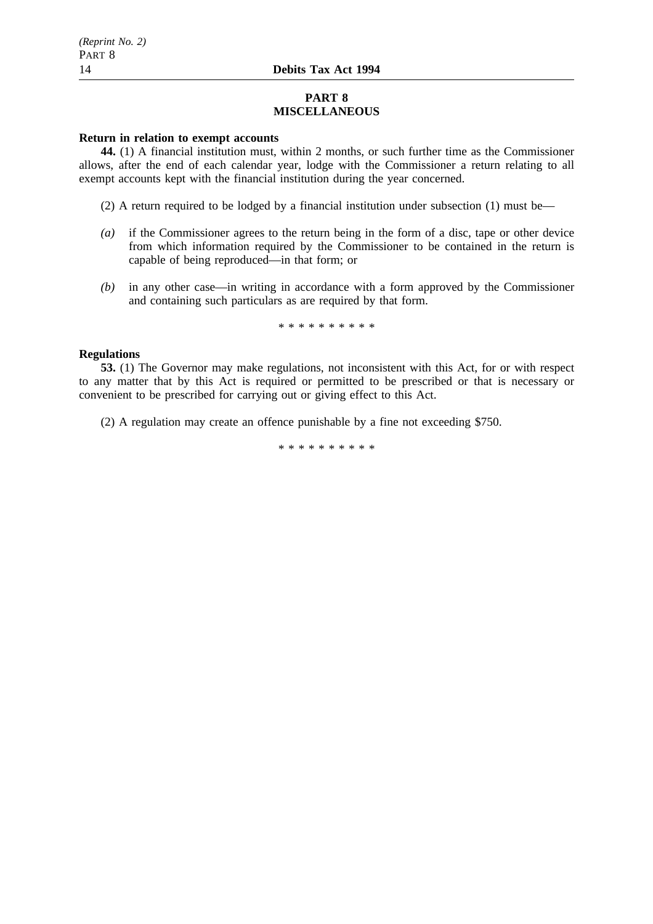# **PART 8 MISCELLANEOUS**

## **Return in relation to exempt accounts**

**44.** (1) A financial institution must, within 2 months, or such further time as the Commissioner allows, after the end of each calendar year, lodge with the Commissioner a return relating to all exempt accounts kept with the financial institution during the year concerned.

- (2) A return required to be lodged by a financial institution under subsection (1) must be—
- *(a)* if the Commissioner agrees to the return being in the form of a disc, tape or other device from which information required by the Commissioner to be contained in the return is capable of being reproduced—in that form; or
- *(b)* in any other case—in writing in accordance with a form approved by the Commissioner and containing such particulars as are required by that form.

\*\*\*\*\*\*\*\*\*\*

# **Regulations**

**53.** (1) The Governor may make regulations, not inconsistent with this Act, for or with respect to any matter that by this Act is required or permitted to be prescribed or that is necessary or convenient to be prescribed for carrying out or giving effect to this Act.

(2) A regulation may create an offence punishable by a fine not exceeding \$750.

\*\*\*\*\*\*\*\*\*\*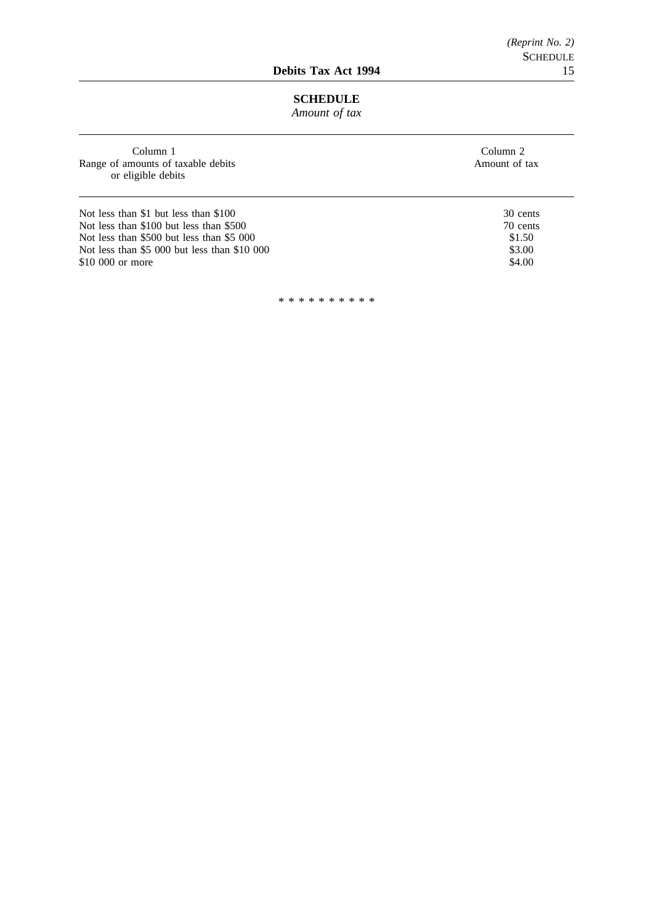# **SCHEDULE**

*Amount of tax*

| Column 1<br>Range of amounts of taxable debits<br>or eligible debits | Column 2<br>Amount of tax |
|----------------------------------------------------------------------|---------------------------|
| Not less than \$1 but less than \$100                                | 30 cents                  |
| Not less than \$100 but less than \$500                              | 70 cents                  |
| Not less than \$500 but less than \$5 000                            | \$1.50                    |
| Not less than \$5 000 but less than \$10 000                         | \$3.00                    |
| \$10,000 or more                                                     | \$4.00                    |
|                                                                      |                           |

\*\*\*\*\*\*\*\*\*\*

J.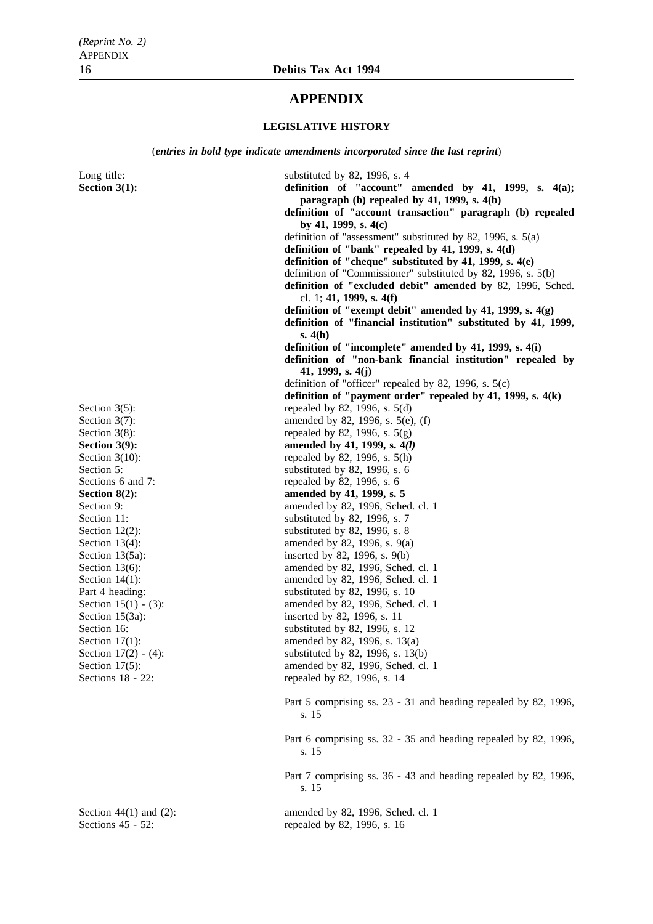# **APPENDIX**

### **LEGISLATIVE HISTORY**

(*entries in bold type indicate amendments incorporated since the last reprint*)

Long title: substituted by 82, 1996, s. 4 **Section 3(1): a b definition of "account" amended by 41, 1999, s. 4(a); paragraph (b) repealed by 41, 1999, s. 4(b) definition of "account transaction" paragraph (b) repealed by 41, 1999, s. 4(c)** definition of "assessment" substituted by 82, 1996, s. 5(a) **definition of "bank" repealed by 41, 1999, s. 4(d) definition of "cheque" substituted by 41, 1999, s. 4(e)** definition of "Commissioner" substituted by 82, 1996, s. 5(b) **definition of "excluded debit" amended by** 82, 1996, Sched. cl. 1; **41, 1999, s. 4(f) definition of "exempt debit" amended by 41, 1999, s. 4(g) definition of "financial institution" substituted by 41, 1999, s. 4(h) definition of "incomplete" amended by 41, 1999, s. 4(i) definition of "non-bank financial institution" repealed by 41, 1999, s. 4(j)** definition of "officer" repealed by 82, 1996, s. 5(c) **definition of "payment order" repealed by 41, 1999, s. 4(k)** Section  $3(5)$ : repealed by 82, 1996, s.  $5(d)$ Section  $3(7)$ : amended by 82, 1996, s.  $5(e)$ , (f) Section 3(8):<br>
Section 3(9):<br>
Section 3(9):<br>
Section 3(9):<br>
Section 3(9): amended by 41, 1999, s.  $4(l)$ Section  $3(10)$ : repealed by 82, 1996, s.  $5(h)$ Section 5: substituted by 82, 1996, s. 6 Sections 6 and 7: repealed by 82, 1996, s. 6 **Section 8(2): amended by 41, 1999, s. 5** Section 9: **amended by 82**, 1996, Sched. cl. 1 Section 11: substituted by 82, 1996, s. 7 Section 12(2): substituted by 82, 1996, s. 8 Section 13(4): amended by 82, 1996, s. 9(a) Section 13(5a): inserted by 82, 1996, s. 9(b) Section 13(6): amended by 82, 1996, Sched. cl. 1 Section  $14(1)$ : amended by 82, 1996, Sched. cl. 1 Part 4 heading: substituted by 82, 1996, s. 10 Section 15(1) - (3): amended by 82, 1996, Sched. cl. 1 Section 15(3a): inserted by 82, 1996, s. 11 Section 16: substituted by 82, 1996, s. 12<br>Section 17(1): amended by 82, 1996, s. 13(a) Section 17(1): amended by 82, 1996, s. 13(a)<br>Section 17(2) - (4): substituted by 82, 1996, s. 13(1) Section 17(2) - (4):<br>Section 17(5):<br>Section 17(5):<br>Section 17(5):<br>Section 17(5): Section 17(5): amended by 82, 1996, Sched. cl. 1<br>Sections 18 - 22: repeated by 82, 1996, s. 14 repealed by 82, 1996, s. 14 Part 5 comprising ss. 23 - 31 and heading repealed by 82, 1996, s. 15 Part 6 comprising ss. 32 - 35 and heading repealed by 82, 1996, s. 15 Part 7 comprising ss. 36 - 43 and heading repealed by 82, 1996, s. 15 Section 44(1) and (2): amended by 82, 1996, Sched. cl. 1 Sections 45 - 52: repealed by 82, 1996, s. 16